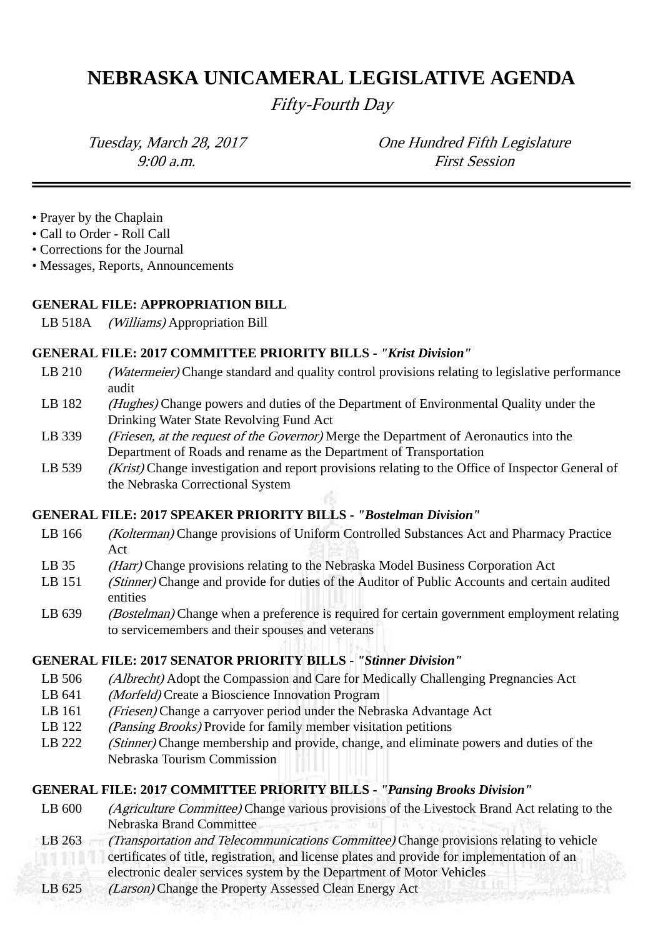# **NEBRASKA UNICAMERAL LEGISLATIVE AGENDA**

Fifty-Fourth Day

Tuesday, March 28, 2017 One Hundred Fifth Legislature 9:00 a.m. First Session

- Prayer by the Chaplain
- Call to Order Roll Call
- Corrections for the Journal
- Messages, Reports, Announcements

#### **GENERAL FILE: APPROPRIATION BILL**

LB 518A (Williams) Appropriation Bill

#### **GENERAL FILE: 2017 COMMITTEE PRIORITY BILLS -** *"Krist Division"*

- LB 210 *(Watermeier)* Change standard and quality control provisions relating to legislative performance audit
- LB 182 (Hughes) Change powers and duties of the Department of Environmental Quality under the Drinking Water State Revolving Fund Act
- LB 339 (*Friesen, at the request of the Governor*) Merge the Department of Aeronautics into the Department of Roads and rename as the Department of Transportation
- LB 539 (Krist) Change investigation and report provisions relating to the Office of Inspector General of the Nebraska Correctional System

## **GENERAL FILE: 2017 SPEAKER PRIORITY BILLS -** *"Bostelman Division"*

- LB 166 (Kolterman) Change provisions of Uniform Controlled Substances Act and Pharmacy Practice Act
- LB 35 (Harr) Change provisions relating to the Nebraska Model Business Corporation Act
- LB 151 *(Stinner)* Change and provide for duties of the Auditor of Public Accounts and certain audited entities
- LB 639 (Bostelman) Change when a preference is required for certain government employment relating to servicemembers and their spouses and veterans

## **GENERAL FILE: 2017 SENATOR PRIORITY BILLS -** *"Stinner Division"*

- LB 506 (*Albrecht*) Adopt the Compassion and Care for Medically Challenging Pregnancies Act
- LB 641 *(Morfeld)* Create a Bioscience Innovation Program
- LB 161 (Friesen) Change a carryover period under the Nebraska Advantage Act
- LB 122 (*Pansing Brooks*) Provide for family member visitation petitions
- LB 222 (Stinner) Change membership and provide, change, and eliminate powers and duties of the Nebraska Tourism Commission

## **GENERAL FILE: 2017 COMMITTEE PRIORITY BILLS -** *"Pansing Brooks Division"*

- LB 600 (Agriculture Committee) Change various provisions of the Livestock Brand Act relating to the Nebraska Brand Committee
- LB 263 (Transportation and Telecommunications Committee) Change provisions relating to vehicle certificates of title, registration, and license plates and provide for implementation of an electronic dealer services system by the Department of Motor Vehicles
- LB 625 (Larson) Change the Property Assessed Clean Energy Act